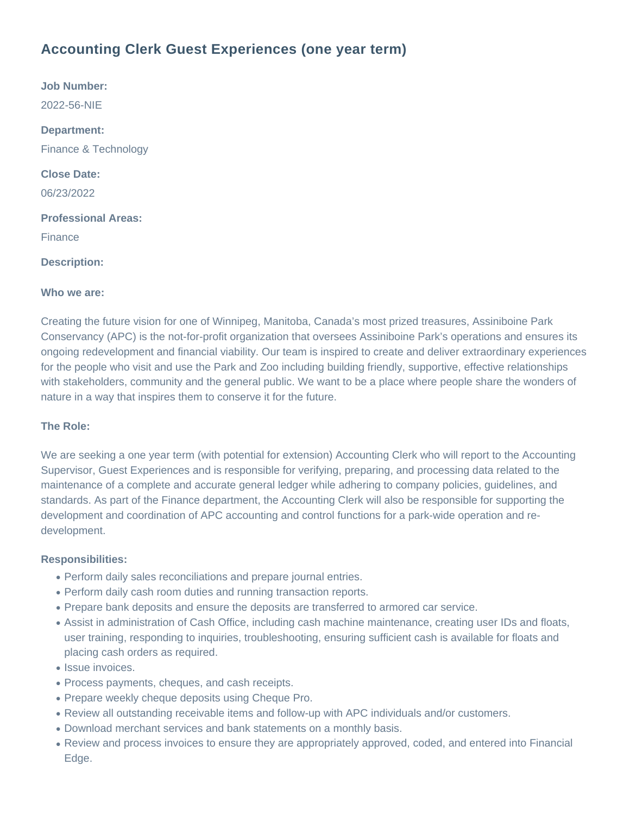# **Accounting Clerk Guest Experiences (one year term)**

**Job Number:** 2022-56-NIE **Department:** Finance & Technology **Close Date:** 06/23/2022 **Professional Areas:** Finance **Description:**

# **Who we are:**

Creating the future vision for one of Winnipeg, Manitoba, Canada's most prized treasures, Assiniboine Park Conservancy (APC) is the not-for-profit organization that oversees Assiniboine Park's operations and ensures its ongoing redevelopment and financial viability. Our team is inspired to create and deliver extraordinary experiences for the people who visit and use the Park and Zoo including building friendly, supportive, effective relationships with stakeholders, community and the general public. We want to be a place where people share the wonders of nature in a way that inspires them to conserve it for the future.

# **The Role:**

We are seeking a one year term (with potential for extension) Accounting Clerk who will report to the Accounting Supervisor, Guest Experiences and is responsible for verifying, preparing, and processing data related to the maintenance of a complete and accurate general ledger while adhering to company policies, guidelines, and standards. As part of the Finance department, the Accounting Clerk will also be responsible for supporting the development and coordination of APC accounting and control functions for a park-wide operation and redevelopment.

## **Responsibilities:**

- Perform daily sales reconciliations and prepare journal entries.
- Perform daily cash room duties and running transaction reports.
- Prepare bank deposits and ensure the deposits are transferred to armored car service.
- Assist in administration of Cash Office, including cash machine maintenance, creating user IDs and floats, user training, responding to inquiries, troubleshooting, ensuring sufficient cash is available for floats and placing cash orders as required.
- Issue invoices.
- Process payments, cheques, and cash receipts.
- Prepare weekly cheque deposits using Cheque Pro.
- Review all outstanding receivable items and follow-up with APC individuals and/or customers.
- Download merchant services and bank statements on a monthly basis.
- Review and process invoices to ensure they are appropriately approved, coded, and entered into Financial Edge.